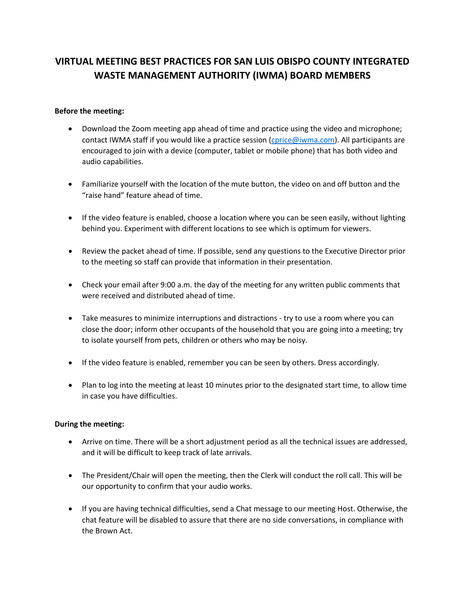## **VIRTUAL MEETING BEST PRACTICES FOR SAN LUIS OBISPO COUNTY INTEGRATED WASTE MANAGEMENT AUTHORITY (IWMA) BOARD MEMBERS**

## **Before the meeting:**

- Download the Zoom meeting app ahead of time and practice using the video and microphone; contact IWMA staff if you would like a practice session [\(cprice@iwma.com\)](mailto:cprice@iwma.com). All participants are encouraged to join with a device (computer, tablet or mobile phone) that has both video and audio capabilities.
- Familiarize yourself with the location of the mute button, the video on and off button and the "raise hand" feature ahead of time.
- If the video feature is enabled, choose a location where you can be seen easily, without lighting behind you. Experiment with different locations to see which is optimum for viewers.
- Review the packet ahead of time. If possible, send any questions to the Executive Director prior to the meeting so staff can provide that information in their presentation.
- Check your email after 9:00 a.m. the day of the meeting for any written public comments that were received and distributed ahead of time.
- Take measures to minimize interruptions and distractions try to use a room where you can close the door; inform other occupants of the household that you are going into a meeting; try to isolate yourself from pets, children or others who may be noisy.
- If the video feature is enabled, remember you can be seen by others. Dress accordingly.
- Plan to log into the meeting at least 10 minutes prior to the designated start time, to allow time in case you have difficulties.

## **During the meeting:**

- Arrive on time. There will be a short adjustment period as all the technical issues are addressed, and it will be difficult to keep track of late arrivals.
- The President/Chair will open the meeting, then the Clerk will conduct the roll call. This will be our opportunity to confirm that your audio works.
- If you are having technical difficulties, send a Chat message to our meeting Host. Otherwise, the chat feature will be disabled to assure that there are no side conversations, in compliance with the Brown Act.